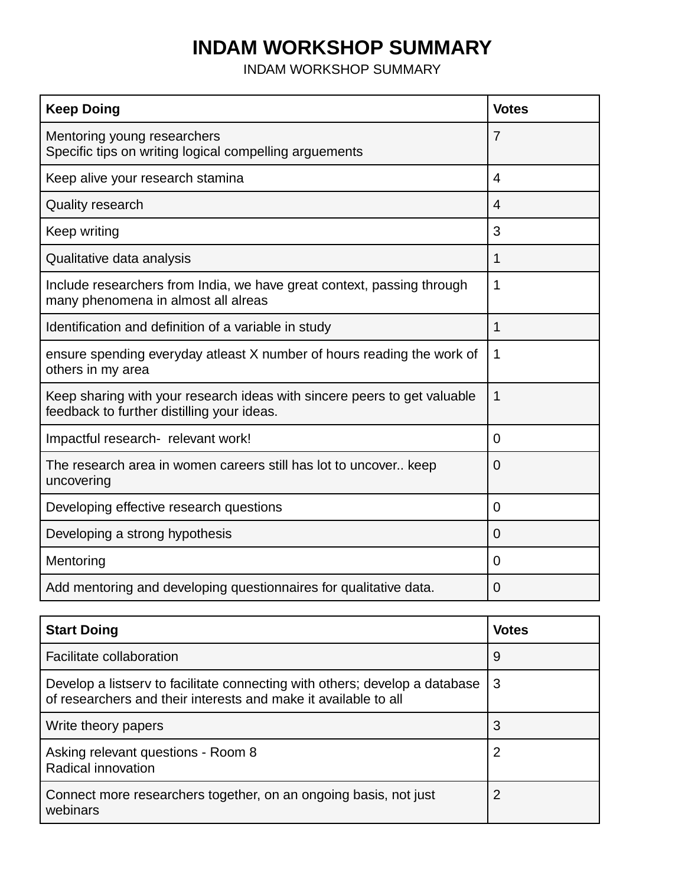## **INDAM WORKSHOP SUMMARY**

INDAM WORKSHOP SUMMARY

| <b>Keep Doing</b>                                                                                                      | <b>Votes</b>   |
|------------------------------------------------------------------------------------------------------------------------|----------------|
| Mentoring young researchers<br>Specific tips on writing logical compelling arguements                                  | $\overline{7}$ |
| Keep alive your research stamina                                                                                       | 4              |
| <b>Quality research</b>                                                                                                | $\overline{4}$ |
| Keep writing                                                                                                           | 3              |
| Qualitative data analysis                                                                                              | 1              |
| Include researchers from India, we have great context, passing through<br>many phenomena in almost all alreas          | 1              |
| Identification and definition of a variable in study                                                                   | 1              |
| ensure spending everyday atleast X number of hours reading the work of<br>others in my area                            | 1              |
| Keep sharing with your research ideas with sincere peers to get valuable<br>feedback to further distilling your ideas. | 1              |
| Impactful research- relevant work!                                                                                     | $\Omega$       |
| The research area in women careers still has lot to uncover keep<br>uncovering                                         | 0              |
| Developing effective research questions                                                                                | $\Omega$       |
| Developing a strong hypothesis                                                                                         | $\Omega$       |
| Mentoring                                                                                                              | 0              |
| Add mentoring and developing questionnaires for qualitative data.                                                      | 0              |

| <b>Start Doing</b>                                                                                                                             | <b>Votes</b> |
|------------------------------------------------------------------------------------------------------------------------------------------------|--------------|
| Facilitate collaboration                                                                                                                       | 9            |
| Develop a listsery to facilitate connecting with others; develop a database<br>of researchers and their interests and make it available to all | l 3          |
| Write theory papers                                                                                                                            | 3            |
| Asking relevant questions - Room 8<br>Radical innovation                                                                                       | 2            |
| Connect more researchers together, on an ongoing basis, not just<br>webinars                                                                   | 2            |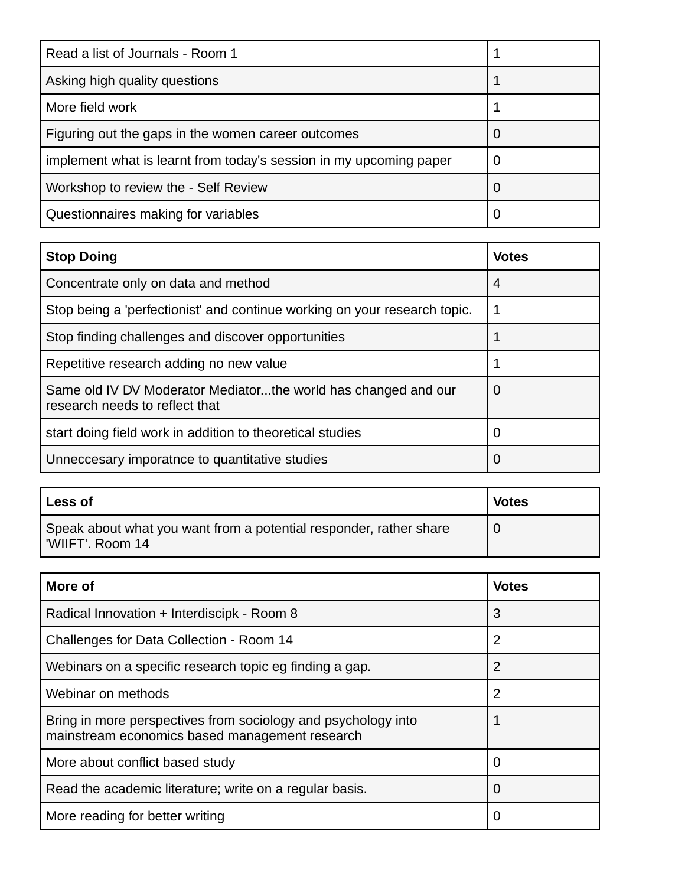| Read a list of Journals - Room 1                                   |        |
|--------------------------------------------------------------------|--------|
| Asking high quality questions                                      |        |
| More field work                                                    |        |
| Figuring out the gaps in the women career outcomes                 |        |
| implement what is learnt from today's session in my upcoming paper |        |
| Workshop to review the - Self Review                               | $\cup$ |
| Questionnaires making for variables                                |        |

| <b>Stop Doing</b>                                                                                | <b>Votes</b> |
|--------------------------------------------------------------------------------------------------|--------------|
| Concentrate only on data and method                                                              | 4            |
| Stop being a 'perfectionist' and continue working on your research topic.                        |              |
| Stop finding challenges and discover opportunities                                               |              |
| Repetitive research adding no new value                                                          |              |
| Same old IV DV Moderator Mediatorthe world has changed and our<br>research needs to reflect that | 0            |
| start doing field work in addition to theoretical studies                                        |              |
| Unneccesary imporatnce to quantitative studies                                                   | Ő            |

| Less of                                                                                | <b>Votes</b> |
|----------------------------------------------------------------------------------------|--------------|
| Speak about what you want from a potential responder, rather share<br>'WIIFT', Room 14 |              |

| More of                                                                                                         | <b>Votes</b>   |
|-----------------------------------------------------------------------------------------------------------------|----------------|
| Radical Innovation + Interdiscipk - Room 8                                                                      | 3              |
| Challenges for Data Collection - Room 14                                                                        | $\overline{2}$ |
| Webinars on a specific research topic eg finding a gap.                                                         | $\overline{2}$ |
| Webinar on methods                                                                                              | 2              |
| Bring in more perspectives from sociology and psychology into<br>mainstream economics based management research |                |
| More about conflict based study                                                                                 | 0              |
| Read the academic literature; write on a regular basis.                                                         | O              |
| More reading for better writing                                                                                 | O              |